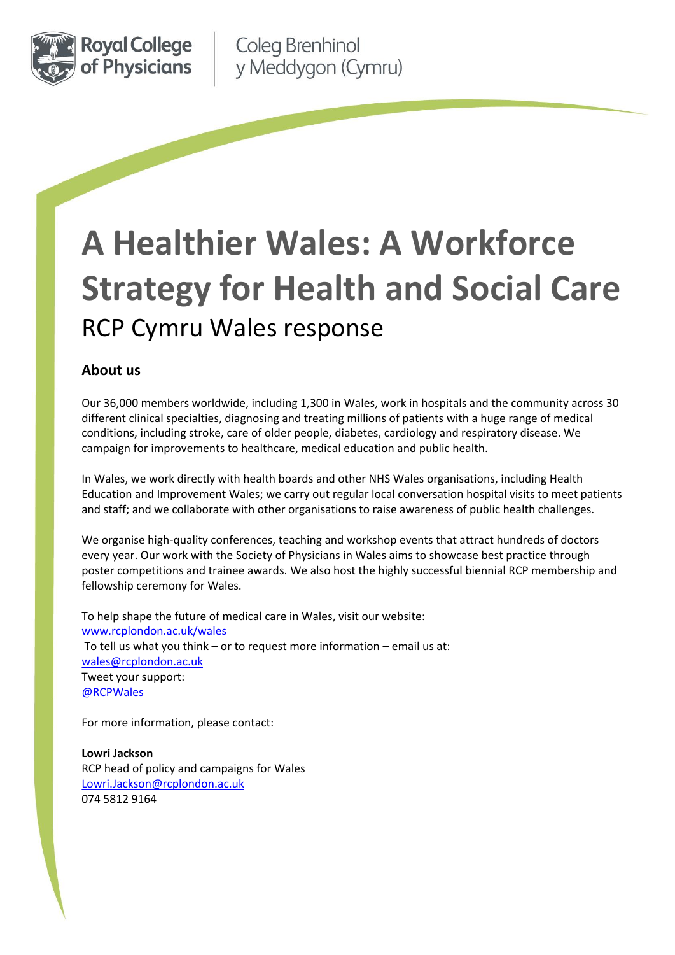

Coleg Brenhinol y Meddygon (Cymru)

# **A Healthier Wales: A Workforce Strategy for Health and Social Care**  RCP Cymru Wales response

# **About us**

Our 36,000 members worldwide, including 1,300 in Wales, work in hospitals and the community across 30 different clinical specialties, diagnosing and treating millions of patients with a huge range of medical conditions, including stroke, care of older people, diabetes, cardiology and respiratory disease. We campaign for improvements to healthcare, medical education and public health.

In Wales, we work directly with health boards and other NHS Wales organisations, including Health Education and Improvement Wales; we carry out regular local conversation hospital visits to meet patients and staff; and we collaborate with other organisations to raise awareness of public health challenges.

We organise high-quality conferences, teaching and workshop events that attract hundreds of doctors every year. Our work with the Society of Physicians in Wales aims to showcase best practice through poster competitions and trainee awards. We also host the highly successful biennial RCP membership and fellowship ceremony for Wales.

To help shape the future of medical care in Wales, visit our website: [www.rcplondon.ac.uk/wales](http://www.rcplondon.ac.uk/wales) To tell us what you think – or to request more information – email us at: [wales@rcplondon.ac.uk](mailto:Wales@rcplondon.ac.uk) Tweet your support: [@RCPWales](file:///C:/Users/lowrijackson/Dropbox/My%20Work/RCP%20Wales/Wales%20(RCP%20London)/2019%20RCP%20Cymru%20Wales%20projects/Doing%20things%20differently%20-%20Taking%20care%20of%20our%20trainee%20doctors%20in%20Wales/twitter.com/rcpwales)

For more information, please contact:

**Lowri Jackson** RCP head of policy and campaigns for Wales [Lowri.Jackson@rcplondon.ac.uk](mailto:Lowri.Jackson@rcplondon.ac.uk) 074 5812 9164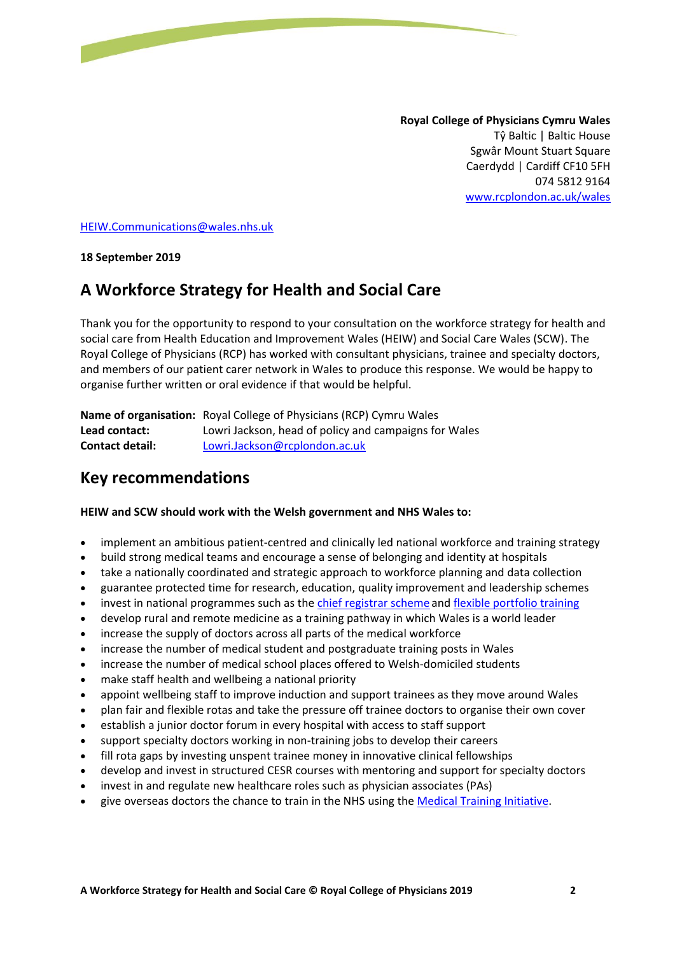**Royal College of Physicians Cymru Wales** Tŷ Baltic | Baltic House Sgwâr Mount Stuart Square Caerdydd | Cardiff CF10 5FH 074 5812 9164 [www.rcplondon.ac.uk/wales](http://www.rcplondon.ac.uk/wales)

[HEIW.Communications@wales.nhs.uk](mailto:HEIW.Communications@wales.nhs.uk)

**18 September 2019** 

# **A Workforce Strategy for Health and Social Care**

Thank you for the opportunity to respond to your consultation on the workforce strategy for health and social care from Health Education and Improvement Wales (HEIW) and Social Care Wales (SCW). The Royal College of Physicians (RCP) has worked with consultant physicians, trainee and specialty doctors, and members of our patient carer network in Wales to produce this response. We would be happy to organise further written or oral evidence if that would be helpful.

**Name of organisation:** Royal College of Physicians (RCP) Cymru Wales **Lead contact:** Lowri Jackson, head of policy and campaigns for Wales **Contact detail:** [Lowri.Jackson@rcplondon.ac.uk](mailto:Lowri.Jackson@rcplondon.ac.uk)

# **Key recommendations**

#### **HEIW and SCW should work with the Welsh government and NHS Wales to:**

- implement an ambitious patient-centred and clinically led national workforce and training strategy
- build strong medical teams and encourage a sense of belonging and identity at hospitals
- take a nationally coordinated and strategic approach to workforce planning and data collection
- guarantee protected time for research, education, quality improvement and leadership schemes
- invest in national programmes such as the [chief registrar scheme](http://www.rcplondon.ac.uk/projects/chief-registrar-scheme) and [flexible portfolio training](http://www.rcplondon.ac.uk/projects/flexible-portfolio-training)
- develop rural and remote medicine as a training pathway in which Wales is a world leader
- increase the supply of doctors across all parts of the medical workforce
- increase the number of medical student and postgraduate training posts in Wales
- increase the number of medical school places offered to Welsh-domiciled students
- make staff health and wellbeing a national priority
- appoint wellbeing staff to improve induction and support trainees as they move around Wales
- plan fair and flexible rotas and take the pressure off trainee doctors to organise their own cover
- establish a junior doctor forum in every hospital with access to staff support
- support specialty doctors working in non-training jobs to develop their careers
- fill rota gaps by investing unspent trainee money in innovative clinical fellowships
- develop and invest in structured CESR courses with mentoring and support for specialty doctors
- invest in and regulate new healthcare roles such as physician associates (PAs)
- give overseas doctors the chance to train in the NHS using the [Medical Training Initiative.](http://www.aomrc.org.uk/medical-training-initiative/)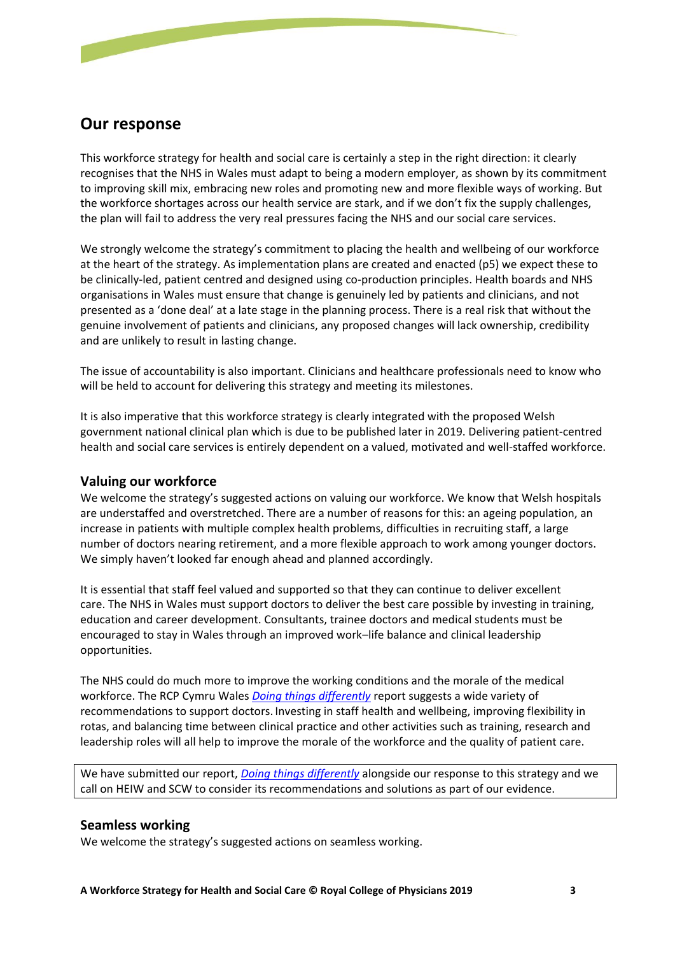

This workforce strategy for health and social care is certainly a step in the right direction: it clearly recognises that the NHS in Wales must adapt to being a modern employer, as shown by its commitment to improving skill mix, embracing new roles and promoting new and more flexible ways of working. But the workforce shortages across our health service are stark, and if we don't fix the supply challenges, the plan will fail to address the very real pressures facing the NHS and our social care services.

We strongly welcome the strategy's commitment to placing the health and wellbeing of our workforce at the heart of the strategy. As implementation plans are created and enacted (p5) we expect these to be clinically-led, patient centred and designed using co-production principles. Health boards and NHS organisations in Wales must ensure that change is genuinely led by patients and clinicians, and not presented as a 'done deal' at a late stage in the planning process. There is a real risk that without the genuine involvement of patients and clinicians, any proposed changes will lack ownership, credibility and are unlikely to result in lasting change.

The issue of accountability is also important. Clinicians and healthcare professionals need to know who will be held to account for delivering this strategy and meeting its milestones.

It is also imperative that this workforce strategy is clearly integrated with the proposed Welsh government national clinical plan which is due to be published later in 2019. Delivering patient-centred health and social care services is entirely dependent on a valued, motivated and well-staffed workforce.

#### **Valuing our workforce**

We welcome the strategy's suggested actions on valuing our workforce. We know that Welsh hospitals are understaffed and overstretched. There are a number of reasons for this: an ageing population, an increase in patients with multiple complex health problems, difficulties in recruiting staff, a large number of doctors nearing retirement, and a more flexible approach to work among younger doctors. We simply haven't looked far enough ahead and planned accordingly.

It is essential that staff feel valued and supported so that they can continue to deliver excellent care. The NHS in Wales must support doctors to deliver the best care possible by investing in training, education and career development. Consultants, trainee doctors and medical students must be encouraged to stay in Wales through an improved work–life balance and clinical leadership opportunities.

The NHS could do much more to improve the working conditions and the morale of the medical workforce. The RCP Cymru Wales *[Doing things differently](https://www.rcplondon.ac.uk/projects/outputs/doing-things-differently-supporting-junior-doctors-wales)* report suggests a wide variety of recommendations to support doctors. Investing in staff health and wellbeing, improving flexibility in rotas, and balancing time between clinical practice and other activities such as training, research and leadership roles will all help to improve the morale of the workforce and the quality of patient care.

We have submitted our report, *[Doing things differently](https://www.rcplondon.ac.uk/projects/outputs/doing-things-differently-supporting-junior-doctors-wales)* alongside our response to this strategy and we call on HEIW and SCW to consider its recommendations and solutions as part of our evidence.

#### **Seamless working**

We welcome the strategy's suggested actions on seamless working.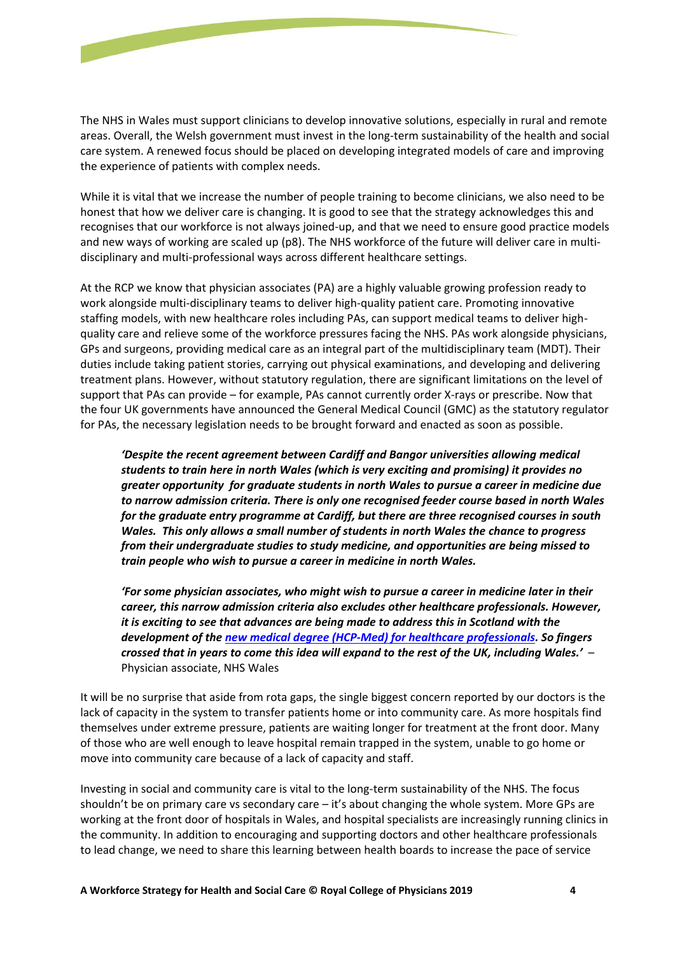

The NHS in Wales must support clinicians to develop innovative solutions, especially in rural and remote areas. Overall, the Welsh government must invest in the long-term sustainability of the health and social care system. A renewed focus should be placed on developing integrated models of care and improving the experience of patients with complex needs.

While it is vital that we increase the number of people training to become clinicians, we also need to be honest that how we deliver care is changing. It is good to see that the strategy acknowledges this and recognises that our workforce is not always joined-up, and that we need to ensure good practice models and new ways of working are scaled up (p8). The NHS workforce of the future will deliver care in multidisciplinary and multi-professional ways across different healthcare settings.

At the RCP we know that physician associates (PA) are a highly valuable growing profession ready to work alongside multi-disciplinary teams to deliver high-quality patient care. Promoting innovative staffing models, with new healthcare roles including PAs, can support medical teams to deliver highquality care and relieve some of the workforce pressures facing the NHS. PAs work alongside physicians, GPs and surgeons, providing medical care as an integral part of the multidisciplinary team (MDT). Their duties include taking patient stories, carrying out physical examinations, and developing and delivering treatment plans. However, without statutory regulation, there are significant limitations on the level of support that PAs can provide – for example, PAs cannot currently order X-rays or prescribe. Now that the four UK governments have announced the General Medical Council (GMC) as the statutory regulator for PAs, the necessary legislation needs to be brought forward and enacted as soon as possible.

*'Despite the recent agreement between Cardiff and Bangor universities allowing medical students to train here in north Wales (which is very exciting and promising) it provides no greater opportunity for graduate students in north Wales to pursue a career in medicine due to narrow admission criteria. There is only one recognised feeder course based in north Wales for the graduate entry programme at Cardiff, but there are three recognised courses in south Wales. This only allows a small number of students in north Wales the chance to progress from their undergraduate studies to study medicine, and opportunities are being missed to train people who wish to pursue a career in medicine in north Wales.*

*'For some physician associates, who might wish to pursue a career in medicine later in their career, this narrow admission criteria also excludes other healthcare professionals. However, it is exciting to see that advances are being made to address this in Scotland with the development of th[e new medical degree \(HCP-Med\) for healthcare professionals.](https://www.ed.ac.uk/medicine-vet-medicine/edinburgh-medical-school/mbchb-for-healthcare-professionals) So fingers crossed that in years to come this idea will expand to the rest of the UK, including Wales.'* – Physician associate, NHS Wales

It will be no surprise that aside from rota gaps, the single biggest concern reported by our doctors is the lack of capacity in the system to transfer patients home or into community care. As more hospitals find themselves under extreme pressure, patients are waiting longer for treatment at the front door. Many of those who are well enough to leave hospital remain trapped in the system, unable to go home or move into community care because of a lack of capacity and staff.

Investing in social and community care is vital to the long-term sustainability of the NHS. The focus shouldn't be on primary care vs secondary care – it's about changing the whole system. More GPs are working at the front door of hospitals in Wales, and hospital specialists are increasingly running clinics in the community. In addition to encouraging and supporting doctors and other healthcare professionals to lead change, we need to share this learning between health boards to increase the pace of service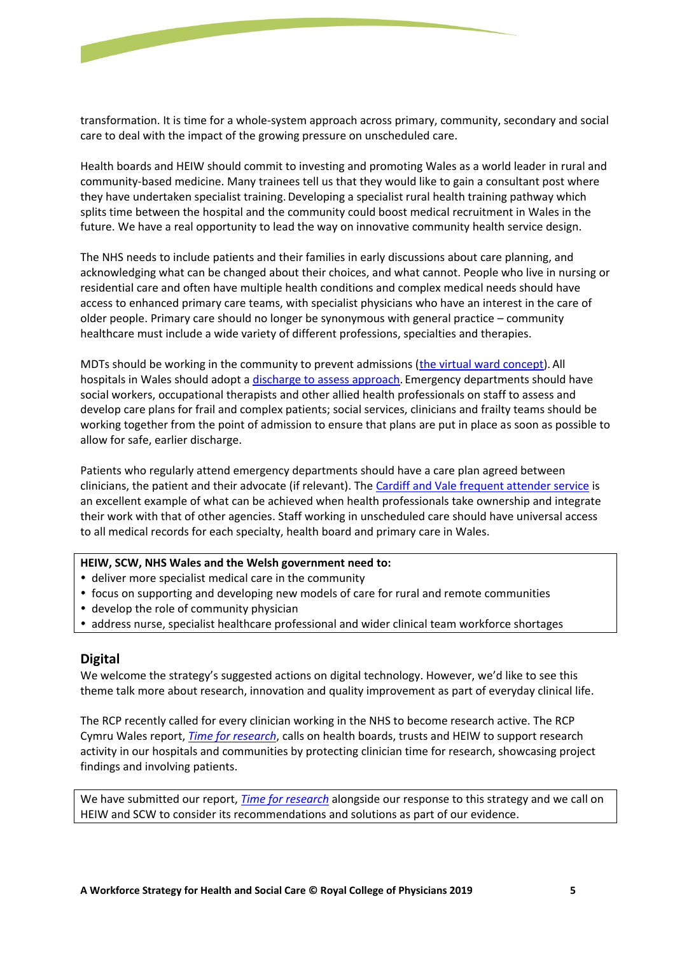

transformation. It is time for a whole-system approach across primary, community, secondary and social care to deal with the impact of the growing pressure on unscheduled care.

Health boards and HEIW should commit to investing and promoting Wales as a world leader in rural and community-based medicine. Many trainees tell us that they would like to gain a consultant post where they have undertaken specialist training.Developing a specialist rural health training pathway which splits time between the hospital and the community could boost medical recruitment in Wales in the future. We have a real opportunity to lead the way on innovative community health service design.

The NHS needs to include patients and their families in early discussions about care planning, and acknowledging what can be changed about their choices, and what cannot. People who live in nursing or residential care and often have multiple health conditions and complex medical needs should have access to enhanced primary care teams, with specialist physicians who have an interest in the care of older people. Primary care should no longer be synonymous with general practice – community healthcare must include a wide variety of different professions, specialties and therapies.

MDTs should be working in the community to prevent admissions [\(the virtual ward concept\)](http://www.powysthb.wales.nhs.uk/virtual-ward). All hospitals in Wales should adopt a [discharge to assess approach.](https://www.nhs.uk/NHSEngland/keogh-review/Documents/quick-guides/Quick-Guide-discharge-to-access.pdf) Emergency departments should have social workers, occupational therapists and other allied health professionals on staff to assess and develop care plans for frail and complex patients; social services, clinicians and frailty teams should be working together from the point of admission to ensure that plans are put in place as soon as possible to allow for safe, earlier discharge.

Patients who regularly attend emergency departments should have a care plan agreed between clinicians, the patient and their advocate (if relevant). Th[e Cardiff and Vale frequent attender service](http://www.nhsconfed.org/resources/2017/06/cardiff-and-vale) is an excellent example of what can be achieved when health professionals take ownership and integrate their work with that of other agencies. Staff working in unscheduled care should have universal access to all medical records for each specialty, health board and primary care in Wales.

#### **HEIW, SCW, NHS Wales and the Welsh government need to:**

- deliver more specialist medical care in the community
- focus on supporting and developing new models of care for rural and remote communities
- develop the role of community physician
- address nurse, specialist healthcare professional and wider clinical team workforce shortages

#### **Digital**

We welcome the strategy's suggested actions on digital technology. However, we'd like to see this theme talk more about research, innovation and quality improvement as part of everyday clinical life.

The RCP recently called for every clinician working in the NHS to become research active. The RCP Cymru Wales report, *[Time for research](https://www.rcplondon.ac.uk/projects/outputs/time-research-delivering-innovative-patient-care-wales)*, calls on health boards, trusts and HEIW to support research activity in our hospitals and communities by protecting clinician time for research, showcasing project findings and involving patients.

We have submitted our report, *[Time for research](https://www.rcplondon.ac.uk/projects/outputs/time-research-delivering-innovative-patient-care-wales)* alongside our response to this strategy and we call on HEIW and SCW to consider its recommendations and solutions as part of our evidence.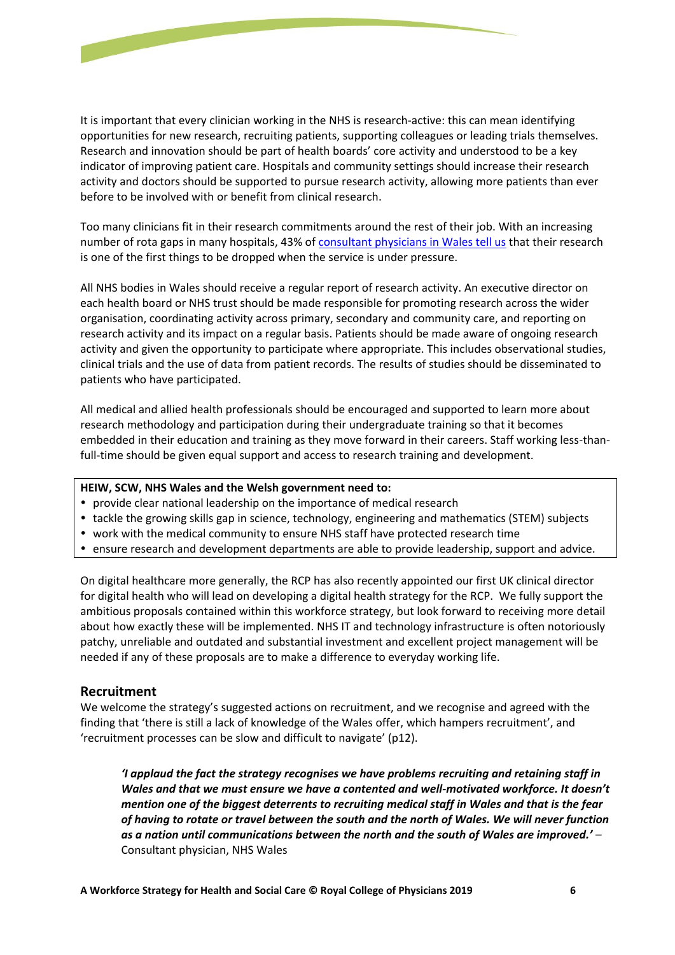

It is important that every clinician working in the NHS is research-active: this can mean identifying opportunities for new research, recruiting patients, supporting colleagues or leading trials themselves. Research and innovation should be part of health boards' core activity and understood to be a key indicator of improving patient care. Hospitals and community settings should increase their research activity and doctors should be supported to pursue research activity, allowing more patients than ever before to be involved with or benefit from clinical research.

Too many clinicians fit in their research commitments around the rest of their job. With an increasing number of rota gaps in many hospitals, 43% of [consultant physicians in Wales tell us](https://www.rcplondon.ac.uk/projects/outputs/focus-physicians-2017-18-census-uk-consultants-and-higher-specialty-trainees) that their research is one of the first things to be dropped when the service is under pressure.

All NHS bodies in Wales should receive a regular report of research activity. An executive director on each health board or NHS trust should be made responsible for promoting research across the wider organisation, coordinating activity across primary, secondary and community care, and reporting on research activity and its impact on a regular basis. Patients should be made aware of ongoing research activity and given the opportunity to participate where appropriate. This includes observational studies, clinical trials and the use of data from patient records. The results of studies should be disseminated to patients who have participated.

All medical and allied health professionals should be encouraged and supported to learn more about research methodology and participation during their undergraduate training so that it becomes embedded in their education and training as they move forward in their careers. Staff working less-thanfull-time should be given equal support and access to research training and development.

#### **HEIW, SCW, NHS Wales and the Welsh government need to:**

- provide clear national leadership on the importance of medical research
- tackle the growing skills gap in science, technology, engineering and mathematics (STEM) subjects
- work with the medical community to ensure NHS staff have protected research time
- ensure research and development departments are able to provide leadership, support and advice.

On digital healthcare more generally, the RCP has also recently appointed our first UK clinical director for digital health who will lead on developing a digital health strategy for the RCP. We fully support the ambitious proposals contained within this workforce strategy, but look forward to receiving more detail about how exactly these will be implemented. NHS IT and technology infrastructure is often notoriously patchy, unreliable and outdated and substantial investment and excellent project management will be needed if any of these proposals are to make a difference to everyday working life.

## **Recruitment**

We welcome the strategy's suggested actions on recruitment, and we recognise and agreed with the finding that 'there is still a lack of knowledge of the Wales offer, which hampers recruitment', and 'recruitment processes can be slow and difficult to navigate' (p12).

*'I applaud the fact the strategy recognises we have problems recruiting and retaining staff in Wales and that we must ensure we have a contented and well-motivated workforce. It doesn't mention one of the biggest deterrents to recruiting medical staff in Wales and that is the fear of having to rotate or travel between the south and the north of Wales. We will never function as a nation until communications between the north and the south of Wales are improved.'* – Consultant physician, NHS Wales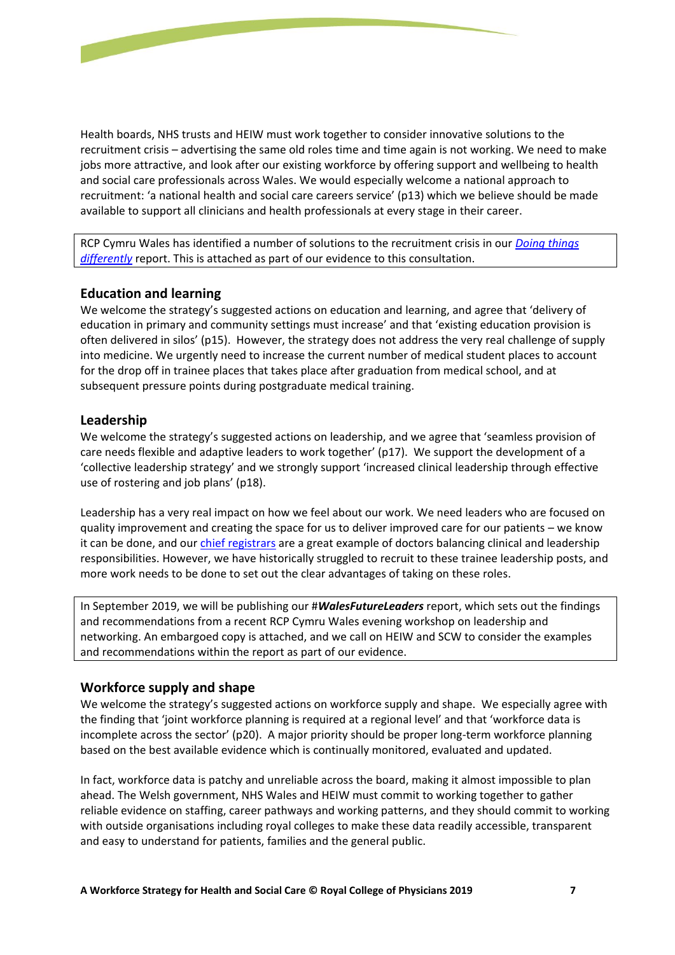

Health boards, NHS trusts and HEIW must work together to consider innovative solutions to the recruitment crisis – advertising the same old roles time and time again is not working. We need to make jobs more attractive, and look after our existing workforce by offering support and wellbeing to health and social care professionals across Wales. We would especially welcome a national approach to recruitment: 'a national health and social care careers service' (p13) which we believe should be made available to support all clinicians and health professionals at every stage in their career.

RCP Cymru Wales has identified a number of solutions to the recruitment crisis in our *[Doing things](https://www.rcplondon.ac.uk/projects/outputs/doing-things-differently-supporting-junior-doctors-wales)  [differently](https://www.rcplondon.ac.uk/projects/outputs/doing-things-differently-supporting-junior-doctors-wales)* report. This is attached as part of our evidence to this consultation.

## **Education and learning**

We welcome the strategy's suggested actions on education and learning, and agree that 'delivery of education in primary and community settings must increase' and that 'existing education provision is often delivered in silos' (p15). However, the strategy does not address the very real challenge of supply into medicine. We urgently need to increase the current number of medical student places to account for the drop off in trainee places that takes place after graduation from medical school, and at subsequent pressure points during postgraduate medical training.

## **Leadership**

We welcome the strategy's suggested actions on leadership, and we agree that 'seamless provision of care needs flexible and adaptive leaders to work together' (p17). We support the development of a 'collective leadership strategy' and we strongly support 'increased clinical leadership through effective use of rostering and job plans' (p18).

Leadership has a very real impact on how we feel about our work. We need leaders who are focused on quality improvement and creating the space for us to deliver improved care for our patients – we know it can be done, and our [chief registrars](https://www.rcplondon.ac.uk/projects/chief-registrar-scheme) are a great example of doctors balancing clinical and leadership responsibilities. However, we have historically struggled to recruit to these trainee leadership posts, and more work needs to be done to set out the clear advantages of taking on these roles.

In September 2019, we will be publishing our #*WalesFutureLeaders* report, which sets out the findings and recommendations from a recent RCP Cymru Wales evening workshop on leadership and networking. An embargoed copy is attached, and we call on HEIW and SCW to consider the examples and recommendations within the report as part of our evidence.

# **Workforce supply and shape**

We welcome the strategy's suggested actions on workforce supply and shape. We especially agree with the finding that 'joint workforce planning is required at a regional level' and that 'workforce data is incomplete across the sector' (p20). A major priority should be proper long-term workforce planning based on the best available evidence which is continually monitored, evaluated and updated.

In fact, workforce data is patchy and unreliable across the board, making it almost impossible to plan ahead. The Welsh government, NHS Wales and HEIW must commit to working together to gather reliable evidence on staffing, career pathways and working patterns, and they should commit to working with outside organisations including royal colleges to make these data readily accessible, transparent and easy to understand for patients, families and the general public.